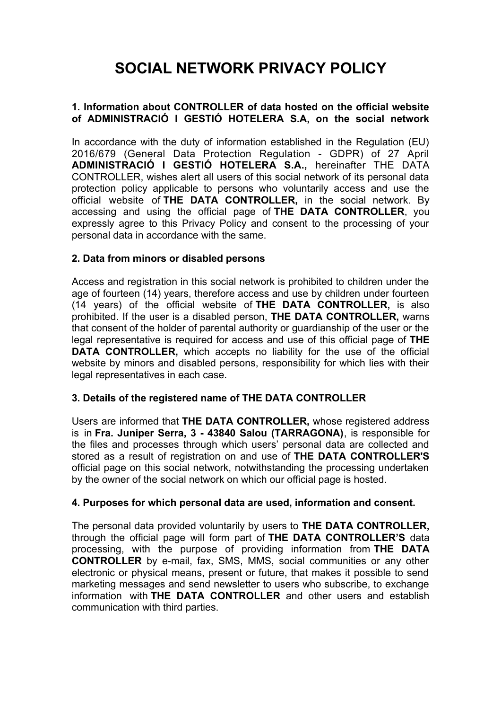# **SOCIAL NETWORK PRIVACY POLICY**

# **1. Information about CONTROLLER of data hosted on the official website of ADMINISTRACIÓ I GESTIÓ HOTELERA S.A, on the social network**

In accordance with the duty of information established in the Regulation (EU) 2016/679 (General Data Protection Regulation - GDPR) of 27 April **ADMINISTRACIÓ I GESTIÓ HOTELERA S.A.,** hereinafter THE DATA CONTROLLER, wishes alert all users of this social network of its personal data protection policy applicable to persons who voluntarily access and use the official website of **THE DATA CONTROLLER,** in the social network. By accessing and using the official page of **THE DATA CONTROLLER**, you expressly agree to this Privacy Policy and consent to the processing of your personal data in accordance with the same.

#### **2. Data from minors or disabled persons**

Access and registration in this social network is prohibited to children under the age of fourteen (14) years, therefore access and use by children under fourteen (14 years) of the official website of **THE DATA CONTROLLER,** is also prohibited. If the user is a disabled person, **THE DATA CONTROLLER,** warns that consent of the holder of parental authority or guardianship of the user or the legal representative is required for access and use of this official page of **THE DATA CONTROLLER,** which accepts no liability for the use of the official website by minors and disabled persons, responsibility for which lies with their legal representatives in each case.

#### **3. Details of the registered name of THE DATA CONTROLLER**

Users are informed that **THE DATA CONTROLLER,** whose registered address is in **Fra. Juniper Serra, 3 - 43840 Salou (TARRAGONA)**, is responsible for the files and processes through which users' personal data are collected and stored as a result of registration on and use of **THE DATA CONTROLLER'S** official page on this social network, notwithstanding the processing undertaken by the owner of the social network on which our official page is hosted.

#### **4. Purposes for which personal data are used, information and consent.**

The personal data provided voluntarily by users to **THE DATA CONTROLLER,** through the official page will form part of **THE DATA CONTROLLER'S** data processing, with the purpose of providing information from **THE DATA CONTROLLER** by e-mail, fax, SMS, MMS, social communities or any other electronic or physical means, present or future, that makes it possible to send marketing messages and send newsletter to users who subscribe, to exchange information with **THE DATA CONTROLLER** and other users and establish communication with third parties.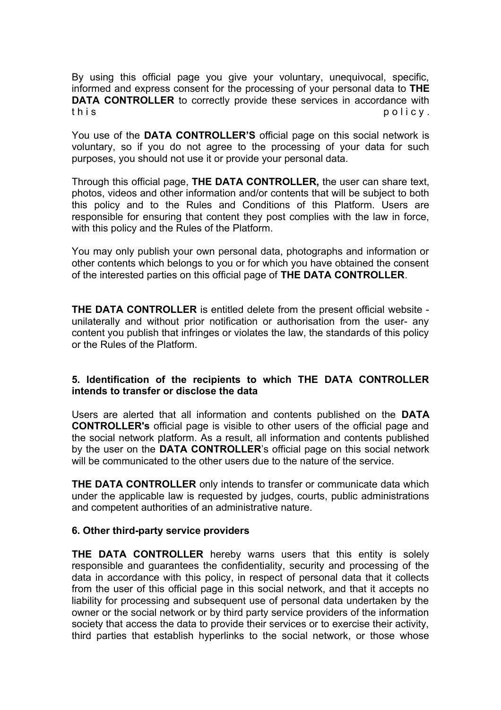By using this official page you give your voluntary, unequivocal, specific, informed and express consent for the processing of your personal data to **THE DATA CONTROLLER** to correctly provide these services in accordance with this policy.

You use of the **DATA CONTROLLER'S** official page on this social network is voluntary, so if you do not agree to the processing of your data for such purposes, you should not use it or provide your personal data.

Through this official page, **THE DATA CONTROLLER,** the user can share text, photos, videos and other information and/or contents that will be subject to both this policy and to the Rules and Conditions of this Platform. Users are responsible for ensuring that content they post complies with the law in force, with this policy and the Rules of the Platform.

You may only publish your own personal data, photographs and information or other contents which belongs to you or for which you have obtained the consent of the interested parties on this official page of **THE DATA CONTROLLER**.

**THE DATA CONTROLLER** is entitled delete from the present official website unilaterally and without prior notification or authorisation from the user- any content you publish that infringes or violates the law, the standards of this policy or the Rules of the Platform.

# **5. Identification of the recipients to which THE DATA CONTROLLER intends to transfer or disclose the data**

Users are alerted that all information and contents published on the **DATA CONTROLLER's** official page is visible to other users of the official page and the social network platform. As a result, all information and contents published by the user on the **DATA CONTROLLER**'s official page on this social network will be communicated to the other users due to the nature of the service.

**THE DATA CONTROLLER** only intends to transfer or communicate data which under the applicable law is requested by judges, courts, public administrations and competent authorities of an administrative nature.

#### **6. Other third-party service providers**

**THE DATA CONTROLLER** hereby warns users that this entity is solely responsible and guarantees the confidentiality, security and processing of the data in accordance with this policy, in respect of personal data that it collects from the user of this official page in this social network, and that it accepts no liability for processing and subsequent use of personal data undertaken by the owner or the social network or by third party service providers of the information society that access the data to provide their services or to exercise their activity, third parties that establish hyperlinks to the social network, or those whose